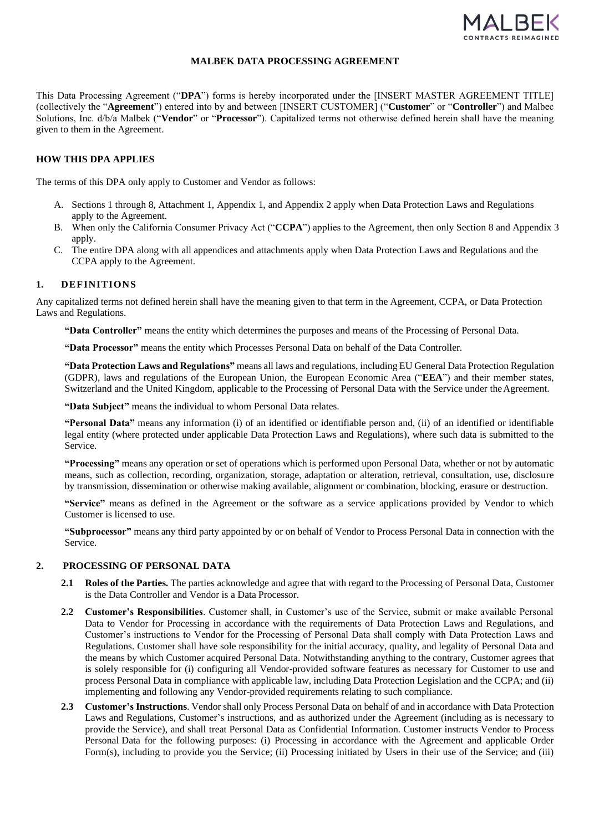

## **MALBEK DATA PROCESSING AGREEMENT**

This Data Processing Agreement ("**DPA**") forms is hereby incorporated under the [INSERT MASTER AGREEMENT TITLE] (collectively the "**Agreement**") entered into by and between [INSERT CUSTOMER] ("**Customer**" or "**Controller**") and Malbec Solutions, Inc. d/b/a Malbek ("**Vendor**" or "**Processor**"). Capitalized terms not otherwise defined herein shall have the meaning given to them in the Agreement.

## **HOW THIS DPA APPLIES**

The terms of this DPA only apply to Customer and Vendor as follows:

- A. Sections 1 through 8, Attachment 1, Appendix 1, and Appendix 2 apply when Data Protection Laws and Regulations apply to the Agreement.
- B. When only the California Consumer Privacy Act ("**CCPA**") applies to the Agreement, then only Section 8 and Appendix 3 apply.
- C. The entire DPA along with all appendices and attachments apply when Data Protection Laws and Regulations and the CCPA apply to the Agreement.

#### **1. DEFINITIONS**

Any capitalized terms not defined herein shall have the meaning given to that term in the Agreement, CCPA, or Data Protection Laws and Regulations.

**"Data Controller"** means the entity which determines the purposes and means of the Processing of Personal Data.

**"Data Processor"** means the entity which Processes Personal Data on behalf of the Data Controller.

**"Data Protection Laws and Regulations"** means alllaws and regulations, including EU General DataProtection Regulation (GDPR), laws and regulations of the European Union, the European Economic Area ("**EEA**") and their member states, Switzerland and the United Kingdom, applicable to the Processing of Personal Data with the Service under theAgreement.

**"Data Subject"** means the individual to whom Personal Data relates.

**"Personal Data"** means any information (i) of an identified or identifiable person and, (ii) of an identified or identifiable legal entity (where protected under applicable Data Protection Laws and Regulations), where such data is submitted to the Service.

**"Processing"** means any operation or set of operations which is performed upon Personal Data, whether or not by automatic means, such as collection, recording, organization, storage, adaptation or alteration, retrieval, consultation, use, disclosure by transmission, dissemination or otherwise making available, alignment or combination, blocking, erasure or destruction.

**"Service"** means as defined in the Agreement or the software as a service applications provided by Vendor to which Customer is licensed to use.

**"Subprocessor"** means any third party appointed by or on behalf of Vendor to Process Personal Data in connection with the Service.

### **2. PROCESSING OF PERSONAL DATA**

- **2.1 Roles of the Parties.** The parties acknowledge and agree that with regard to the Processing of Personal Data, Customer is the Data Controller and Vendor is a Data Processor.
- **2.2 Customer's Responsibilities**. Customer shall, in Customer's use of the Service, submit or make available Personal Data to Vendor for Processing in accordance with the requirements of Data Protection Laws and Regulations, and Customer's instructions to Vendor for the Processing of Personal Data shall comply with Data Protection Laws and Regulations. Customer shall have sole responsibility for the initial accuracy, quality, and legality of Personal Data and the means by which Customer acquired Personal Data. Notwithstanding anything to the contrary, Customer agrees that is solely responsible for (i) configuring all Vendor-provided software features as necessary for Customer to use and process Personal Data in compliance with applicable law, including Data Protection Legislation and the CCPA; and (ii) implementing and following any Vendor-provided requirements relating to such compliance.
- **2.3 Customer's Instructions**. Vendor shall only Process Personal Data on behalf of and in accordance with Data Protection Laws and Regulations, Customer's instructions, and as authorized under the Agreement (including as is necessary to provide the Service), and shall treat Personal Data as Confidential Information. Customer instructs Vendor to Process Personal Data for the following purposes: (i) Processing in accordance with the Agreement and applicable Order Form(s), including to provide you the Service; (ii) Processing initiated by Users in their use of the Service; and (iii)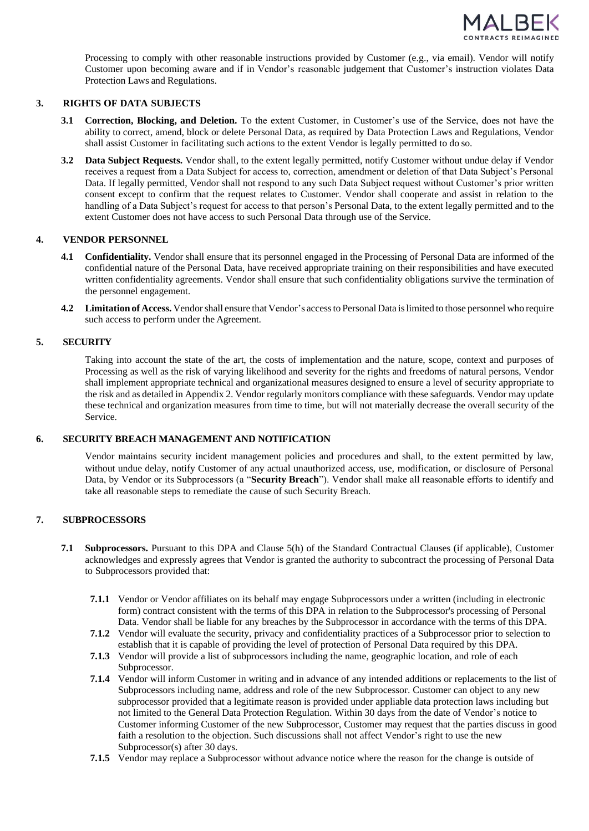

Processing to comply with other reasonable instructions provided by Customer (e.g., via email). Vendor will notify Customer upon becoming aware and if in Vendor's reasonable judgement that Customer's instruction violates Data Protection Laws and Regulations.

## **3. RIGHTS OF DATA SUBJECTS**

- **3.1 Correction, Blocking, and Deletion.** To the extent Customer, in Customer's use of the Service, does not have the ability to correct, amend, block or delete Personal Data, as required by Data Protection Laws and Regulations, Vendor shall assist Customer in facilitating such actions to the extent Vendor is legally permitted to do so.
- **3.2 Data Subject Requests.** Vendor shall, to the extent legally permitted, notify Customer without undue delay if Vendor receives a request from a Data Subject for access to, correction, amendment or deletion of that Data Subject's Personal Data. If legally permitted, Vendor shall not respond to any such Data Subject request without Customer's prior written consent except to confirm that the request relates to Customer. Vendor shall cooperate and assist in relation to the handling of a Data Subject's request for access to that person's Personal Data, to the extent legally permitted and to the extent Customer does not have access to such Personal Data through use of the Service.

## **4. VENDOR PERSONNEL**

- **4.1 Confidentiality.** Vendor shall ensure that its personnel engaged in the Processing of Personal Data are informed of the confidential nature of the Personal Data, have received appropriate training on their responsibilities and have executed written confidentiality agreements. Vendor shall ensure that such confidentiality obligations survive the termination of the personnel engagement.
- **4.2 Limitation of Access.** Vendor shall ensure that Vendor's access to Personal Data is limited to those personnel who require such access to perform under the Agreement.

## **5. SECURITY**

Taking into account the state of the art, the costs of implementation and the nature, scope, context and purposes of Processing as well as the risk of varying likelihood and severity for the rights and freedoms of natural persons, Vendor shall implement appropriate technical and organizational measures designed to ensure a level of security appropriate to the risk and as detailed in Appendix 2. Vendor regularly monitors compliance with these safeguards. Vendor may update these technical and organization measures from time to time, but will not materially decrease the overall security of the Service.

## **6. SECURITY BREACH MANAGEMENT AND NOTIFICATION**

Vendor maintains security incident management policies and procedures and shall, to the extent permitted by law, without undue delay, notify Customer of any actual unauthorized access, use, modification, or disclosure of Personal Data, by Vendor or its Subprocessors (a "**Security Breach**"). Vendor shall make all reasonable efforts to identify and take all reasonable steps to remediate the cause of such Security Breach.

# **7. SUBPROCESSORS**

- **7.1 Subprocessors.** Pursuant to this DPA and Clause 5(h) of the Standard Contractual Clauses (if applicable), Customer acknowledges and expressly agrees that Vendor is granted the authority to subcontract the processing of Personal Data to Subprocessors provided that:
	- **7.1.1** Vendor or Vendor affiliates on its behalf may engage Subprocessors under a written (including in electronic form) contract consistent with the terms of this DPA in relation to the Subprocessor's processing of Personal Data. Vendor shall be liable for any breaches by the Subprocessor in accordance with the terms of this DPA.
	- **7.1.2** Vendor will evaluate the security, privacy and confidentiality practices of a Subprocessor prior to selection to establish that it is capable of providing the level of protection of Personal Data required by this DPA.
	- **7.1.3** Vendor will provide a list of subprocessors including the name, geographic location, and role of each Subprocessor.
	- **7.1.4** Vendor will inform Customer in writing and in advance of any intended additions or replacements to the list of Subprocessors including name, address and role of the new Subprocessor. Customer can object to any new subprocessor provided that a legitimate reason is provided under appliable data protection laws including but not limited to the General Data Protection Regulation. Within 30 days from the date of Vendor's notice to Customer informing Customer of the new Subprocessor, Customer may request that the parties discuss in good faith a resolution to the objection. Such discussions shall not affect Vendor's right to use the new Subprocessor(s) after 30 days.
	- **7.1.5** Vendor may replace a Subprocessor without advance notice where the reason for the change is outside of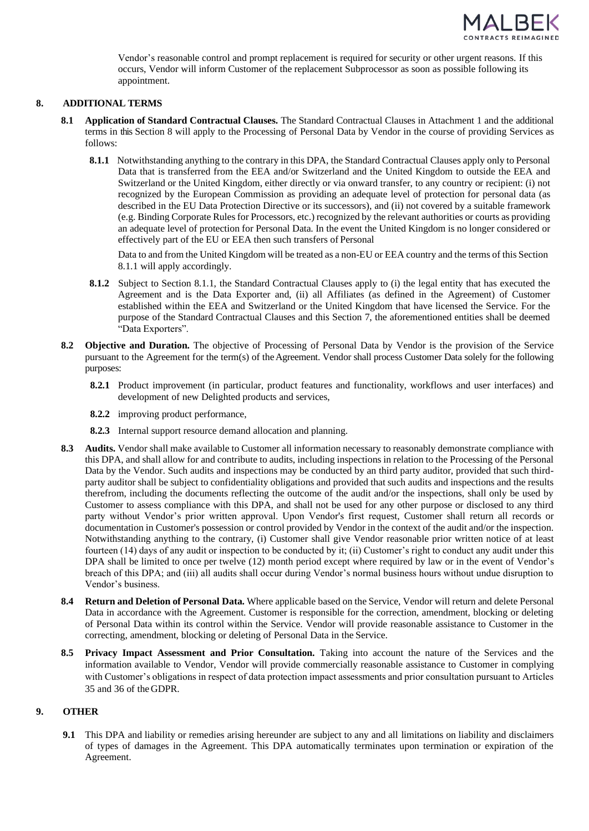

Vendor's reasonable control and prompt replacement is required for security or other urgent reasons. If this occurs, Vendor will inform Customer of the replacement Subprocessor as soon as possible following its appointment.

## **8. ADDITIONAL TERMS**

- **8.1 Application of Standard Contractual Clauses.** The Standard Contractual Clauses in Attachment 1 and the additional terms in this Section 8 will apply to the Processing of Personal Data by Vendor in the course of providing Services as follows:
	- **8.1.1** Notwithstanding anything to the contrary in this DPA, the Standard Contractual Clauses apply only to Personal Data that is transferred from the EEA and/or Switzerland and the United Kingdom to outside the EEA and Switzerland or the United Kingdom, either directly or via onward transfer, to any country or recipient: (i) not recognized by the European Commission as providing an adequate level of protection for personal data (as described in the EU Data Protection Directive or its successors), and (ii) not covered by a suitable framework (e.g. Binding Corporate Rules for Processors, etc.) recognized by the relevant authorities or courts as providing an adequate level of protection for Personal Data. In the event the United Kingdom is no longer considered or effectively part of the EU or EEA then such transfers of Personal

Data to and from the United Kingdom will be treated as a non-EU or EEA country and the terms of this Section 8.1.1 will apply accordingly.

- **8.1.2** Subject to Section 8.1.1, the Standard Contractual Clauses apply to (i) the legal entity that has executed the Agreement and is the Data Exporter and, (ii) all Affiliates (as defined in the Agreement) of Customer established within the EEA and Switzerland or the United Kingdom that have licensed the Service. For the purpose of the Standard Contractual Clauses and this Section 7, the aforementioned entities shall be deemed "Data Exporters".
- **8.2 Objective and Duration.** The objective of Processing of Personal Data by Vendor is the provision of the Service pursuant to the Agreement for the term(s) of the Agreement. Vendor shall process Customer Data solely for the following purposes:
	- **8.2.1** Product improvement (in particular, product features and functionality, workflows and user interfaces) and development of new Delighted products and services,
	- **8.2.2** improving product performance,
	- **8.2.3** Internal support resource demand allocation and planning.
- **8.3 Audits.** Vendor shall make available to Customer all information necessary to reasonably demonstrate compliance with this DPA, and shall allow for and contribute to audits, including inspections in relation to the Processing of the Personal Data by the Vendor. Such audits and inspections may be conducted by an third party auditor, provided that such thirdparty auditor shall be subject to confidentiality obligations and provided that such audits and inspections and the results therefrom, including the documents reflecting the outcome of the audit and/or the inspections, shall only be used by Customer to assess compliance with this DPA, and shall not be used for any other purpose or disclosed to any third party without Vendor's prior written approval. Upon Vendor's first request, Customer shall return all records or documentation in Customer's possession or control provided by Vendor in the context of the audit and/or the inspection. Notwithstanding anything to the contrary, (i) Customer shall give Vendor reasonable prior written notice of at least fourteen (14) days of any audit or inspection to be conducted by it; (ii) Customer's right to conduct any audit under this DPA shall be limited to once per twelve (12) month period except where required by law or in the event of Vendor's breach of this DPA; and (iii) all audits shall occur during Vendor's normal business hours without undue disruption to Vendor's business.
- **8.4 Return and Deletion of Personal Data.** Where applicable based on the Service, Vendor will return and delete Personal Data in accordance with the Agreement. Customer is responsible for the correction, amendment, blocking or deleting of Personal Data within its control within the Service. Vendor will provide reasonable assistance to Customer in the correcting, amendment, blocking or deleting of Personal Data in the Service.
- **8.5 Privacy Impact Assessment and Prior Consultation.** Taking into account the nature of the Services and the information available to Vendor, Vendor will provide commercially reasonable assistance to Customer in complying with Customer's obligations in respect of data protection impact assessments and prior consultation pursuant to Articles 35 and 36 of the GDPR.

## **9. OTHER**

**9.1** This DPA and liability or remedies arising hereunder are subject to any and all limitations on liability and disclaimers of types of damages in the Agreement. This DPA automatically terminates upon termination or expiration of the Agreement.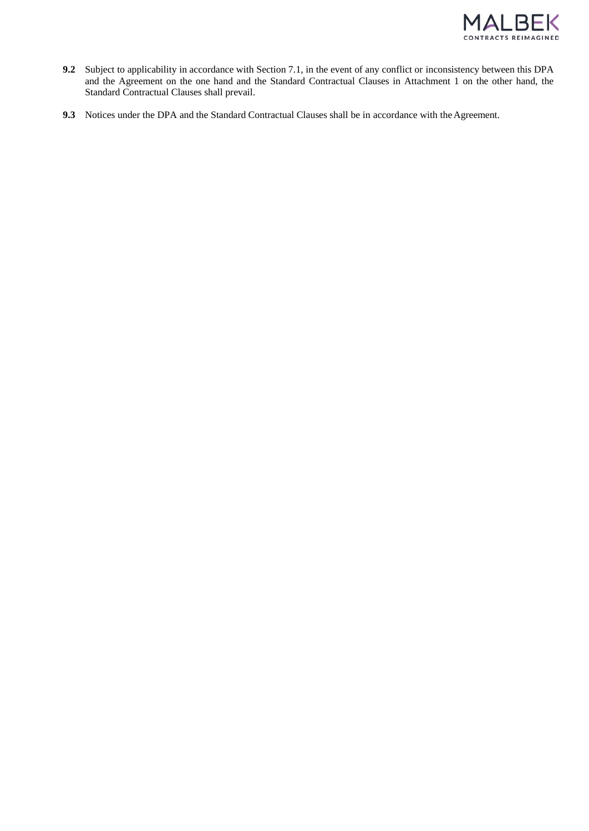

- **9.2** Subject to applicability in accordance with Section 7.1, in the event of any conflict or inconsistency between this DPA and the Agreement on the one hand and the Standard Contractual Clauses in Attachment 1 on the other hand, the Standard Contractual Clauses shall prevail.
- **9.3** Notices under the DPA and the Standard Contractual Clauses shall be in accordance with the Agreement.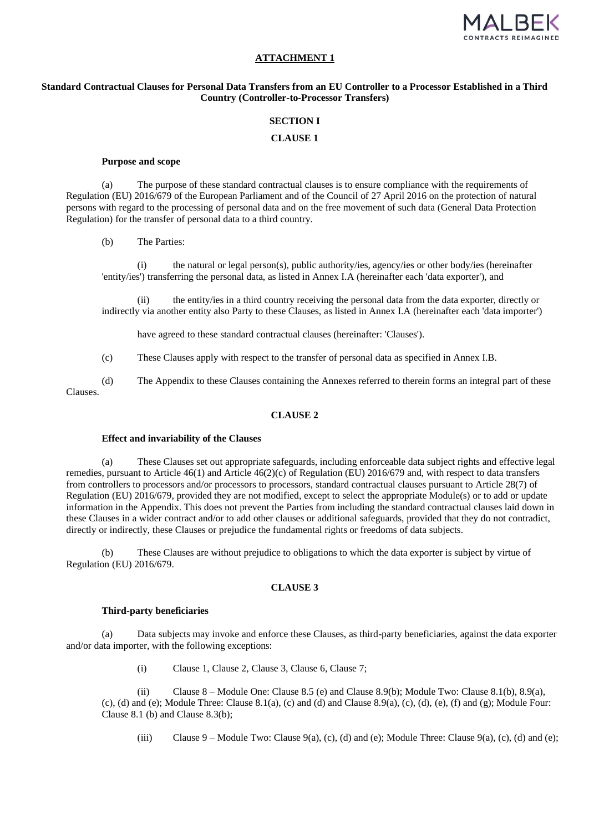

## **ATTACHMENT 1**

## **Standard Contractual Clauses for Personal Data Transfers from an EU Controller to a Processor Established in a Third Country (Controller-to-Processor Transfers)**

### **SECTION I**

### **CLAUSE 1**

#### **Purpose and scope**

(a) The purpose of these standard contractual clauses is to ensure compliance with the requirements of Regulation (EU) 2016/679 of the European Parliament and of the Council of 27 April 2016 on the protection of natural persons with regard to the processing of personal data and on the free movement of such data (General Data Protection Regulation) for the transfer of personal data to a third country.

(b) The Parties:

(i) the natural or legal person(s), public authority/ies, agency/ies or other body/ies (hereinafter 'entity/ies') transferring the personal data, as listed in Annex I.A (hereinafter each 'data exporter'), and

(ii) the entity/ies in a third country receiving the personal data from the data exporter, directly or indirectly via another entity also Party to these Clauses, as listed in Annex I.A (hereinafter each 'data importer')

have agreed to these standard contractual clauses (hereinafter: 'Clauses').

(c) These Clauses apply with respect to the transfer of personal data as specified in Annex I.B.

(d) The Appendix to these Clauses containing the Annexes referred to therein forms an integral part of these Clauses.

### **CLAUSE 2**

#### **Effect and invariability of the Clauses**

(a) These Clauses set out appropriate safeguards, including enforceable data subject rights and effective legal remedies, pursuant to Article 46(1) and Article 46(2)(c) of Regulation (EU) 2016/679 and, with respect to data transfers from controllers to processors and/or processors to processors, standard contractual clauses pursuant to Article 28(7) of Regulation (EU) 2016/679, provided they are not modified, except to select the appropriate Module(s) or to add or update information in the Appendix. This does not prevent the Parties from including the standard contractual clauses laid down in these Clauses in a wider contract and/or to add other clauses or additional safeguards, provided that they do not contradict, directly or indirectly, these Clauses or prejudice the fundamental rights or freedoms of data subjects.

(b) These Clauses are without prejudice to obligations to which the data exporter is subject by virtue of Regulation (EU) 2016/679.

## **CLAUSE 3**

#### **Third-party beneficiaries**

(a) Data subjects may invoke and enforce these Clauses, as third-party beneficiaries, against the data exporter and/or data importer, with the following exceptions:

(i) Clause 1, Clause 2, Clause 3, Clause 6, Clause 7;

(ii) Clause  $8 -$  Module One: Clause 8.5 (e) and Clause 8.9(b); Module Two: Clause 8.1(b), 8.9(a),  $(c)$ , (d) and  $(e)$ ; Module Three: Clause 8.1(a),  $(c)$  and (d) and Clause 8.9(a),  $(c)$ ,  $(d)$ ,  $(e)$ ,  $(f)$  and  $(g)$ ; Module Four: Clause 8.1 (b) and Clause 8.3(b);

(iii) Clause  $9 -$  Module Two: Clause  $9(a)$ , (c), (d) and (e); Module Three: Clause  $9(a)$ , (c), (d) and (e);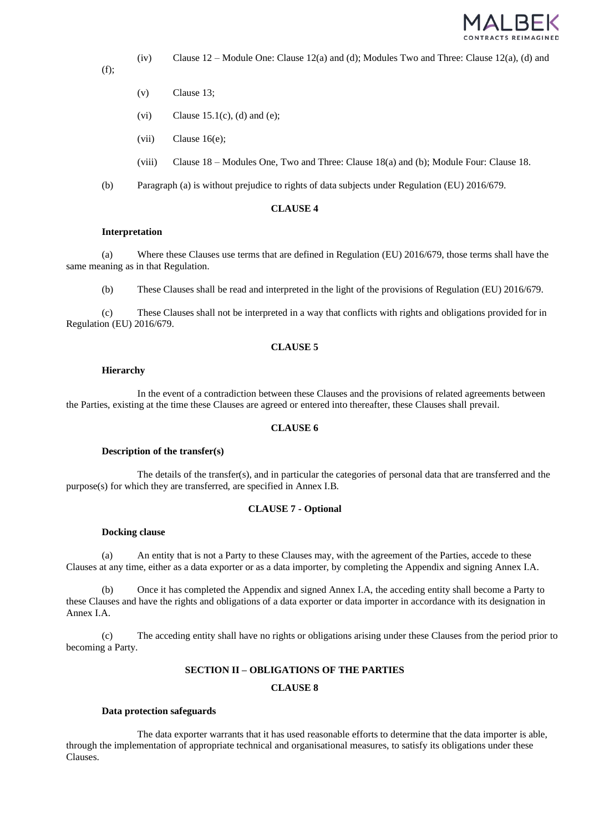

(iv) Clause 12 – Module One: Clause 12(a) and (d); Modules Two and Three: Clause 12(a), (d) and

(f);

- (v) Clause 13;
- (vi) Clause 15.1(c), (d) and (e);
- $(vii)$  Clause 16(e);
- (viii) Clause 18 Modules One, Two and Three: Clause 18(a) and (b); Module Four: Clause 18.

(b) Paragraph (a) is without prejudice to rights of data subjects under Regulation (EU) 2016/679.

#### **CLAUSE 4**

#### **Interpretation**

(a) Where these Clauses use terms that are defined in Regulation (EU) 2016/679, those terms shall have the same meaning as in that Regulation.

(b) These Clauses shall be read and interpreted in the light of the provisions of Regulation (EU) 2016/679.

(c) These Clauses shall not be interpreted in a way that conflicts with rights and obligations provided for in Regulation (EU) 2016/679.

#### **CLAUSE 5**

#### **Hierarchy**

In the event of a contradiction between these Clauses and the provisions of related agreements between the Parties, existing at the time these Clauses are agreed or entered into thereafter, these Clauses shall prevail.

#### **CLAUSE 6**

#### **Description of the transfer(s)**

The details of the transfer(s), and in particular the categories of personal data that are transferred and the purpose(s) for which they are transferred, are specified in Annex I.B.

#### **CLAUSE 7 - Optional**

#### **Docking clause**

(a) An entity that is not a Party to these Clauses may, with the agreement of the Parties, accede to these Clauses at any time, either as a data exporter or as a data importer, by completing the Appendix and signing Annex I.A.

(b) Once it has completed the Appendix and signed Annex I.A, the acceding entity shall become a Party to these Clauses and have the rights and obligations of a data exporter or data importer in accordance with its designation in Annex I.A.

(c) The acceding entity shall have no rights or obligations arising under these Clauses from the period prior to becoming a Party.

#### **SECTION II – OBLIGATIONS OF THE PARTIES**

#### **CLAUSE 8**

#### **Data protection safeguards**

The data exporter warrants that it has used reasonable efforts to determine that the data importer is able, through the implementation of appropriate technical and organisational measures, to satisfy its obligations under these Clauses.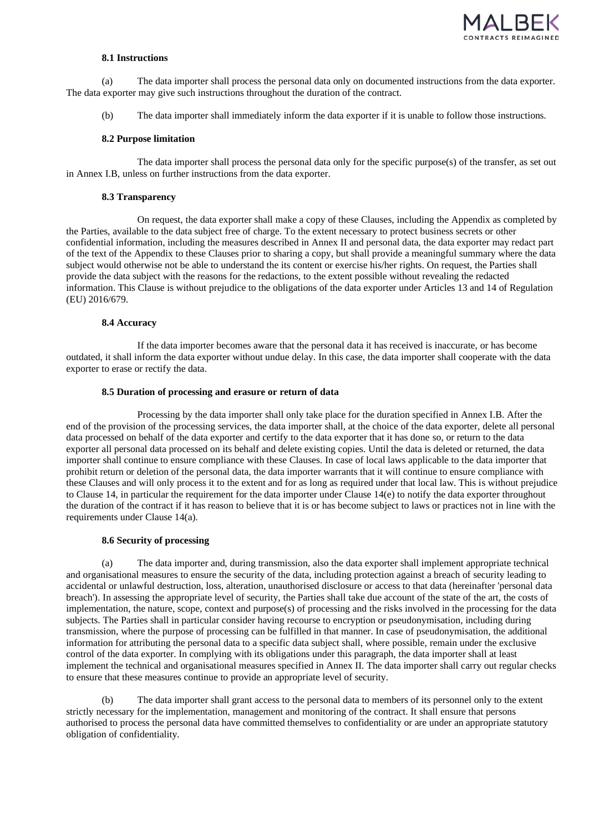

#### **8.1 Instructions**

(a) The data importer shall process the personal data only on documented instructions from the data exporter. The data exporter may give such instructions throughout the duration of the contract.

(b) The data importer shall immediately inform the data exporter if it is unable to follow those instructions.

#### **8.2 Purpose limitation**

The data importer shall process the personal data only for the specific purpose(s) of the transfer, as set out in Annex I.B, unless on further instructions from the data exporter.

### **8.3 Transparency**

On request, the data exporter shall make a copy of these Clauses, including the Appendix as completed by the Parties, available to the data subject free of charge. To the extent necessary to protect business secrets or other confidential information, including the measures described in Annex II and personal data, the data exporter may redact part of the text of the Appendix to these Clauses prior to sharing a copy, but shall provide a meaningful summary where the data subject would otherwise not be able to understand the its content or exercise his/her rights. On request, the Parties shall provide the data subject with the reasons for the redactions, to the extent possible without revealing the redacted information. This Clause is without prejudice to the obligations of the data exporter under Articles 13 and 14 of Regulation (EU) 2016/679.

## **8.4 Accuracy**

If the data importer becomes aware that the personal data it has received is inaccurate, or has become outdated, it shall inform the data exporter without undue delay. In this case, the data importer shall cooperate with the data exporter to erase or rectify the data.

#### **8.5 Duration of processing and erasure or return of data**

Processing by the data importer shall only take place for the duration specified in Annex I.B. After the end of the provision of the processing services, the data importer shall, at the choice of the data exporter, delete all personal data processed on behalf of the data exporter and certify to the data exporter that it has done so, or return to the data exporter all personal data processed on its behalf and delete existing copies. Until the data is deleted or returned, the data importer shall continue to ensure compliance with these Clauses. In case of local laws applicable to the data importer that prohibit return or deletion of the personal data, the data importer warrants that it will continue to ensure compliance with these Clauses and will only process it to the extent and for as long as required under that local law. This is without prejudice to Clause 14, in particular the requirement for the data importer under Clause 14(e) to notify the data exporter throughout the duration of the contract if it has reason to believe that it is or has become subject to laws or practices not in line with the requirements under Clause 14(a).

## **8.6 Security of processing**

(a) The data importer and, during transmission, also the data exporter shall implement appropriate technical and organisational measures to ensure the security of the data, including protection against a breach of security leading to accidental or unlawful destruction, loss, alteration, unauthorised disclosure or access to that data (hereinafter 'personal data breach'). In assessing the appropriate level of security, the Parties shall take due account of the state of the art, the costs of implementation, the nature, scope, context and purpose(s) of processing and the risks involved in the processing for the data subjects. The Parties shall in particular consider having recourse to encryption or pseudonymisation, including during transmission, where the purpose of processing can be fulfilled in that manner. In case of pseudonymisation, the additional information for attributing the personal data to a specific data subject shall, where possible, remain under the exclusive control of the data exporter. In complying with its obligations under this paragraph, the data importer shall at least implement the technical and organisational measures specified in Annex II. The data importer shall carry out regular checks to ensure that these measures continue to provide an appropriate level of security.

(b) The data importer shall grant access to the personal data to members of its personnel only to the extent strictly necessary for the implementation, management and monitoring of the contract. It shall ensure that persons authorised to process the personal data have committed themselves to confidentiality or are under an appropriate statutory obligation of confidentiality.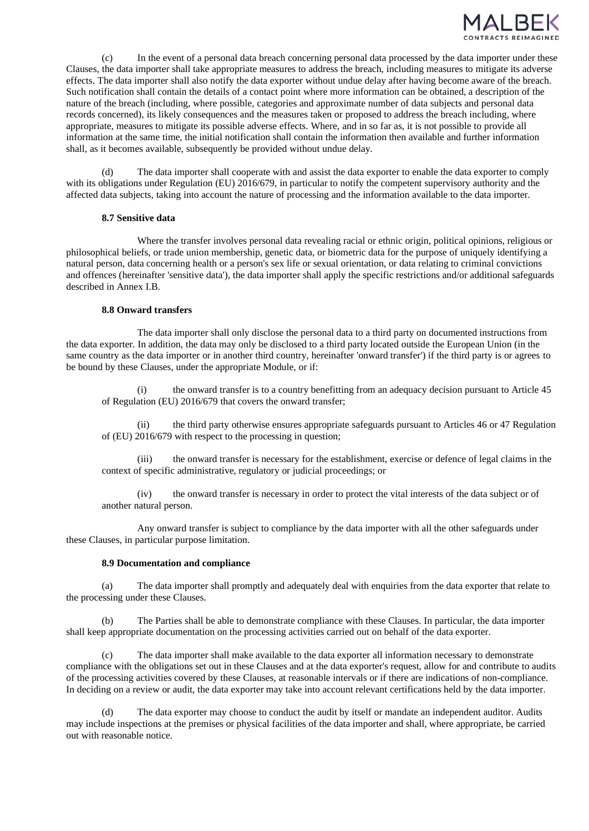

(c) In the event of a personal data breach concerning personal data processed by the data importer under these Clauses, the data importer shall take appropriate measures to address the breach, including measures to mitigate its adverse effects. The data importer shall also notify the data exporter without undue delay after having become aware of the breach. Such notification shall contain the details of a contact point where more information can be obtained, a description of the nature of the breach (including, where possible, categories and approximate number of data subjects and personal data records concerned), its likely consequences and the measures taken or proposed to address the breach including, where appropriate, measures to mitigate its possible adverse effects. Where, and in so far as, it is not possible to provide all information at the same time, the initial notification shall contain the information then available and further information shall, as it becomes available, subsequently be provided without undue delay.

(d) The data importer shall cooperate with and assist the data exporter to enable the data exporter to comply with its obligations under Regulation (EU) 2016/679, in particular to notify the competent supervisory authority and the affected data subjects, taking into account the nature of processing and the information available to the data importer.

## **8.7 Sensitive data**

Where the transfer involves personal data revealing racial or ethnic origin, political opinions, religious or philosophical beliefs, or trade union membership, genetic data, or biometric data for the purpose of uniquely identifying a natural person, data concerning health or a person's sex life or sexual orientation, or data relating to criminal convictions and offences (hereinafter 'sensitive data'), the data importer shall apply the specific restrictions and/or additional safeguards described in Annex I.B.

#### **8.8 Onward transfers**

The data importer shall only disclose the personal data to a third party on documented instructions from the data exporter. In addition, the data may only be disclosed to a third party located outside the European Union (in the same country as the data importer or in another third country, hereinafter 'onward transfer') if the third party is or agrees to be bound by these Clauses, under the appropriate Module, or if:

(i) the onward transfer is to a country benefitting from an adequacy decision pursuant to Article 45 of Regulation (EU) 2016/679 that covers the onward transfer;

(ii) the third party otherwise ensures appropriate safeguards pursuant to Articles 46 or 47 Regulation of (EU) 2016/679 with respect to the processing in question;

(iii) the onward transfer is necessary for the establishment, exercise or defence of legal claims in the context of specific administrative, regulatory or judicial proceedings; or

(iv) the onward transfer is necessary in order to protect the vital interests of the data subject or of another natural person.

Any onward transfer is subject to compliance by the data importer with all the other safeguards under these Clauses, in particular purpose limitation.

#### **8.9 Documentation and compliance**

(a) The data importer shall promptly and adequately deal with enquiries from the data exporter that relate to the processing under these Clauses.

(b) The Parties shall be able to demonstrate compliance with these Clauses. In particular, the data importer shall keep appropriate documentation on the processing activities carried out on behalf of the data exporter.

(c) The data importer shall make available to the data exporter all information necessary to demonstrate compliance with the obligations set out in these Clauses and at the data exporter's request, allow for and contribute to audits of the processing activities covered by these Clauses, at reasonable intervals or if there are indications of non-compliance. In deciding on a review or audit, the data exporter may take into account relevant certifications held by the data importer.

(d) The data exporter may choose to conduct the audit by itself or mandate an independent auditor. Audits may include inspections at the premises or physical facilities of the data importer and shall, where appropriate, be carried out with reasonable notice.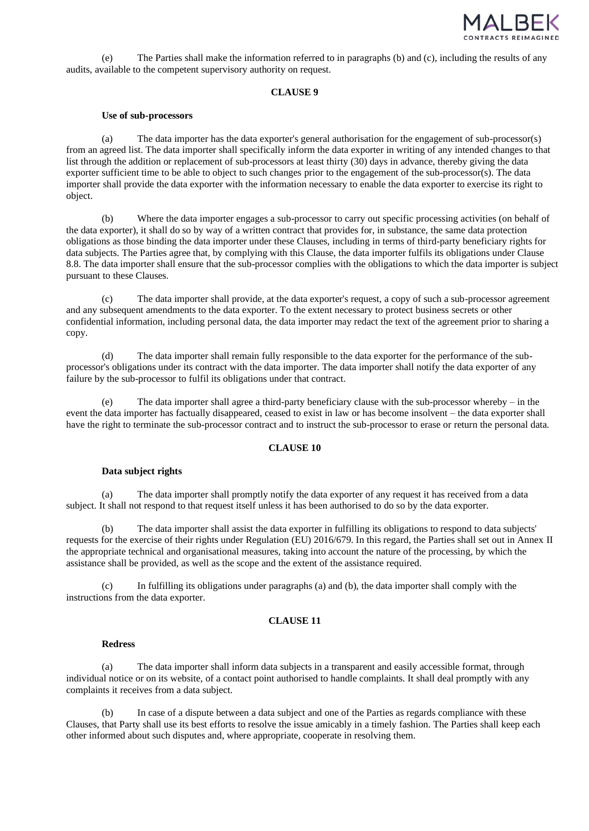

(e) The Parties shall make the information referred to in paragraphs (b) and (c), including the results of any audits, available to the competent supervisory authority on request.

#### **CLAUSE 9**

#### **Use of sub-processors**

(a) The data importer has the data exporter's general authorisation for the engagement of sub-processor(s) from an agreed list. The data importer shall specifically inform the data exporter in writing of any intended changes to that list through the addition or replacement of sub-processors at least thirty (30) days in advance, thereby giving the data exporter sufficient time to be able to object to such changes prior to the engagement of the sub-processor(s). The data importer shall provide the data exporter with the information necessary to enable the data exporter to exercise its right to object.

(b) Where the data importer engages a sub-processor to carry out specific processing activities (on behalf of the data exporter), it shall do so by way of a written contract that provides for, in substance, the same data protection obligations as those binding the data importer under these Clauses, including in terms of third-party beneficiary rights for data subjects. The Parties agree that, by complying with this Clause, the data importer fulfils its obligations under Clause 8.8. The data importer shall ensure that the sub-processor complies with the obligations to which the data importer is subject pursuant to these Clauses.

(c) The data importer shall provide, at the data exporter's request, a copy of such a sub-processor agreement and any subsequent amendments to the data exporter. To the extent necessary to protect business secrets or other confidential information, including personal data, the data importer may redact the text of the agreement prior to sharing a copy.

(d) The data importer shall remain fully responsible to the data exporter for the performance of the subprocessor's obligations under its contract with the data importer. The data importer shall notify the data exporter of any failure by the sub-processor to fulfil its obligations under that contract.

(e) The data importer shall agree a third-party beneficiary clause with the sub-processor whereby – in the event the data importer has factually disappeared, ceased to exist in law or has become insolvent – the data exporter shall have the right to terminate the sub-processor contract and to instruct the sub-processor to erase or return the personal data.

## **CLAUSE 10**

## **Data subject rights**

(a) The data importer shall promptly notify the data exporter of any request it has received from a data subject. It shall not respond to that request itself unless it has been authorised to do so by the data exporter.

The data importer shall assist the data exporter in fulfilling its obligations to respond to data subjects' requests for the exercise of their rights under Regulation (EU) 2016/679. In this regard, the Parties shall set out in Annex II the appropriate technical and organisational measures, taking into account the nature of the processing, by which the assistance shall be provided, as well as the scope and the extent of the assistance required.

(c) In fulfilling its obligations under paragraphs (a) and (b), the data importer shall comply with the instructions from the data exporter.

## **CLAUSE 11**

#### **Redress**

(a) The data importer shall inform data subjects in a transparent and easily accessible format, through individual notice or on its website, of a contact point authorised to handle complaints. It shall deal promptly with any complaints it receives from a data subject.

(b) In case of a dispute between a data subject and one of the Parties as regards compliance with these Clauses, that Party shall use its best efforts to resolve the issue amicably in a timely fashion. The Parties shall keep each other informed about such disputes and, where appropriate, cooperate in resolving them.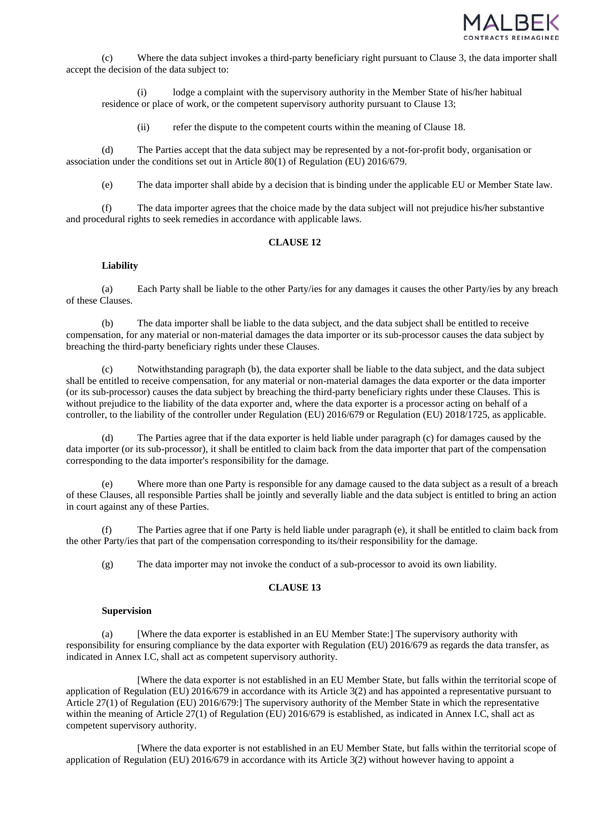

(c) Where the data subject invokes a third-party beneficiary right pursuant to Clause 3, the data importer shall accept the decision of the data subject to:

(i) lodge a complaint with the supervisory authority in the Member State of his/her habitual residence or place of work, or the competent supervisory authority pursuant to Clause 13;

(ii) refer the dispute to the competent courts within the meaning of Clause 18.

(d) The Parties accept that the data subject may be represented by a not-for-profit body, organisation or association under the conditions set out in Article 80(1) of Regulation (EU) 2016/679.

(e) The data importer shall abide by a decision that is binding under the applicable EU or Member State law.

(f) The data importer agrees that the choice made by the data subject will not prejudice his/her substantive and procedural rights to seek remedies in accordance with applicable laws.

# **CLAUSE 12**

#### **Liability**

(a) Each Party shall be liable to the other Party/ies for any damages it causes the other Party/ies by any breach of these Clauses.

(b) The data importer shall be liable to the data subject, and the data subject shall be entitled to receive compensation, for any material or non-material damages the data importer or its sub-processor causes the data subject by breaching the third-party beneficiary rights under these Clauses.

(c) Notwithstanding paragraph (b), the data exporter shall be liable to the data subject, and the data subject shall be entitled to receive compensation, for any material or non-material damages the data exporter or the data importer (or its sub-processor) causes the data subject by breaching the third-party beneficiary rights under these Clauses. This is without prejudice to the liability of the data exporter and, where the data exporter is a processor acting on behalf of a controller, to the liability of the controller under Regulation (EU) 2016/679 or Regulation (EU) 2018/1725, as applicable.

(d) The Parties agree that if the data exporter is held liable under paragraph (c) for damages caused by the data importer (or its sub-processor), it shall be entitled to claim back from the data importer that part of the compensation corresponding to the data importer's responsibility for the damage.

(e) Where more than one Party is responsible for any damage caused to the data subject as a result of a breach of these Clauses, all responsible Parties shall be jointly and severally liable and the data subject is entitled to bring an action in court against any of these Parties.

(f) The Parties agree that if one Party is held liable under paragraph (e), it shall be entitled to claim back from the other Party/ies that part of the compensation corresponding to its/their responsibility for the damage.

(g) The data importer may not invoke the conduct of a sub-processor to avoid its own liability.

## **CLAUSE 13**

#### **Supervision**

(a) [Where the data exporter is established in an EU Member State:] The supervisory authority with responsibility for ensuring compliance by the data exporter with Regulation (EU) 2016/679 as regards the data transfer, as indicated in Annex I.C, shall act as competent supervisory authority.

[Where the data exporter is not established in an EU Member State, but falls within the territorial scope of application of Regulation (EU) 2016/679 in accordance with its Article 3(2) and has appointed a representative pursuant to Article 27(1) of Regulation (EU) 2016/679:] The supervisory authority of the Member State in which the representative within the meaning of Article 27(1) of Regulation (EU) 2016/679 is established, as indicated in Annex I.C, shall act as competent supervisory authority.

[Where the data exporter is not established in an EU Member State, but falls within the territorial scope of application of Regulation (EU) 2016/679 in accordance with its Article 3(2) without however having to appoint a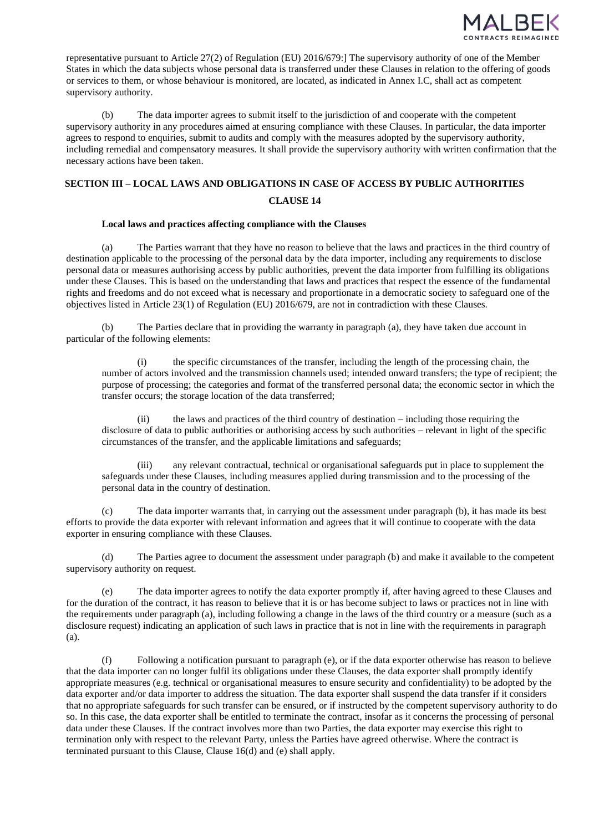

representative pursuant to Article 27(2) of Regulation (EU) 2016/679:] The supervisory authority of one of the Member States in which the data subjects whose personal data is transferred under these Clauses in relation to the offering of goods or services to them, or whose behaviour is monitored, are located, as indicated in Annex I.C, shall act as competent supervisory authority.

(b) The data importer agrees to submit itself to the jurisdiction of and cooperate with the competent supervisory authority in any procedures aimed at ensuring compliance with these Clauses. In particular, the data importer agrees to respond to enquiries, submit to audits and comply with the measures adopted by the supervisory authority, including remedial and compensatory measures. It shall provide the supervisory authority with written confirmation that the necessary actions have been taken.

# **SECTION III – LOCAL LAWS AND OBLIGATIONS IN CASE OF ACCESS BY PUBLIC AUTHORITIES CLAUSE 14**

#### **Local laws and practices affecting compliance with the Clauses**

(a) The Parties warrant that they have no reason to believe that the laws and practices in the third country of destination applicable to the processing of the personal data by the data importer, including any requirements to disclose personal data or measures authorising access by public authorities, prevent the data importer from fulfilling its obligations under these Clauses. This is based on the understanding that laws and practices that respect the essence of the fundamental rights and freedoms and do not exceed what is necessary and proportionate in a democratic society to safeguard one of the objectives listed in Article 23(1) of Regulation (EU) 2016/679, are not in contradiction with these Clauses.

(b) The Parties declare that in providing the warranty in paragraph (a), they have taken due account in particular of the following elements:

(i) the specific circumstances of the transfer, including the length of the processing chain, the number of actors involved and the transmission channels used; intended onward transfers; the type of recipient; the purpose of processing; the categories and format of the transferred personal data; the economic sector in which the transfer occurs; the storage location of the data transferred;

(ii) the laws and practices of the third country of destination – including those requiring the disclosure of data to public authorities or authorising access by such authorities – relevant in light of the specific circumstances of the transfer, and the applicable limitations and safeguards;

(iii) any relevant contractual, technical or organisational safeguards put in place to supplement the safeguards under these Clauses, including measures applied during transmission and to the processing of the personal data in the country of destination.

(c) The data importer warrants that, in carrying out the assessment under paragraph (b), it has made its best efforts to provide the data exporter with relevant information and agrees that it will continue to cooperate with the data exporter in ensuring compliance with these Clauses.

(d) The Parties agree to document the assessment under paragraph (b) and make it available to the competent supervisory authority on request.

(e) The data importer agrees to notify the data exporter promptly if, after having agreed to these Clauses and for the duration of the contract, it has reason to believe that it is or has become subject to laws or practices not in line with the requirements under paragraph (a), including following a change in the laws of the third country or a measure (such as a disclosure request) indicating an application of such laws in practice that is not in line with the requirements in paragraph (a).

(f) Following a notification pursuant to paragraph (e), or if the data exporter otherwise has reason to believe that the data importer can no longer fulfil its obligations under these Clauses, the data exporter shall promptly identify appropriate measures (e.g. technical or organisational measures to ensure security and confidentiality) to be adopted by the data exporter and/or data importer to address the situation. The data exporter shall suspend the data transfer if it considers that no appropriate safeguards for such transfer can be ensured, or if instructed by the competent supervisory authority to do so. In this case, the data exporter shall be entitled to terminate the contract, insofar as it concerns the processing of personal data under these Clauses. If the contract involves more than two Parties, the data exporter may exercise this right to termination only with respect to the relevant Party, unless the Parties have agreed otherwise. Where the contract is terminated pursuant to this Clause, Clause 16(d) and (e) shall apply.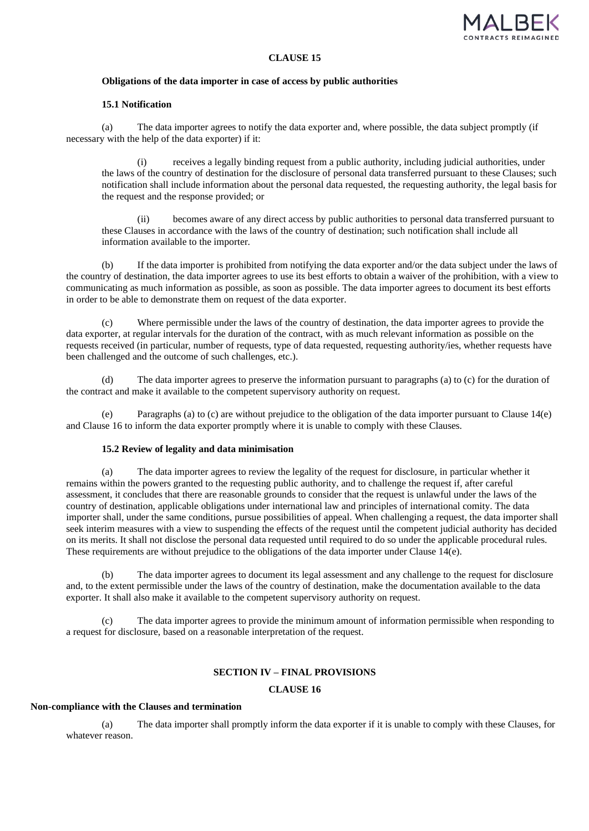

## **CLAUSE 15**

## **Obligations of the data importer in case of access by public authorities**

## **15.1 Notification**

(a) The data importer agrees to notify the data exporter and, where possible, the data subject promptly (if necessary with the help of the data exporter) if it:

(i) receives a legally binding request from a public authority, including judicial authorities, under the laws of the country of destination for the disclosure of personal data transferred pursuant to these Clauses; such notification shall include information about the personal data requested, the requesting authority, the legal basis for the request and the response provided; or

(ii) becomes aware of any direct access by public authorities to personal data transferred pursuant to these Clauses in accordance with the laws of the country of destination; such notification shall include all information available to the importer.

(b) If the data importer is prohibited from notifying the data exporter and/or the data subject under the laws of the country of destination, the data importer agrees to use its best efforts to obtain a waiver of the prohibition, with a view to communicating as much information as possible, as soon as possible. The data importer agrees to document its best efforts in order to be able to demonstrate them on request of the data exporter.

(c) Where permissible under the laws of the country of destination, the data importer agrees to provide the data exporter, at regular intervals for the duration of the contract, with as much relevant information as possible on the requests received (in particular, number of requests, type of data requested, requesting authority/ies, whether requests have been challenged and the outcome of such challenges, etc.).

(d) The data importer agrees to preserve the information pursuant to paragraphs (a) to (c) for the duration of the contract and make it available to the competent supervisory authority on request.

(e) Paragraphs (a) to (c) are without prejudice to the obligation of the data importer pursuant to Clause 14(e) and Clause 16 to inform the data exporter promptly where it is unable to comply with these Clauses.

## **15.2 Review of legality and data minimisation**

(a) The data importer agrees to review the legality of the request for disclosure, in particular whether it remains within the powers granted to the requesting public authority, and to challenge the request if, after careful assessment, it concludes that there are reasonable grounds to consider that the request is unlawful under the laws of the country of destination, applicable obligations under international law and principles of international comity. The data importer shall, under the same conditions, pursue possibilities of appeal. When challenging a request, the data importer shall seek interim measures with a view to suspending the effects of the request until the competent judicial authority has decided on its merits. It shall not disclose the personal data requested until required to do so under the applicable procedural rules. These requirements are without prejudice to the obligations of the data importer under Clause 14(e).

(b) The data importer agrees to document its legal assessment and any challenge to the request for disclosure and, to the extent permissible under the laws of the country of destination, make the documentation available to the data exporter. It shall also make it available to the competent supervisory authority on request.

(c) The data importer agrees to provide the minimum amount of information permissible when responding to a request for disclosure, based on a reasonable interpretation of the request.

# **SECTION IV – FINAL PROVISIONS**

# **CLAUSE 16**

## **Non-compliance with the Clauses and termination**

(a) The data importer shall promptly inform the data exporter if it is unable to comply with these Clauses, for whatever reason.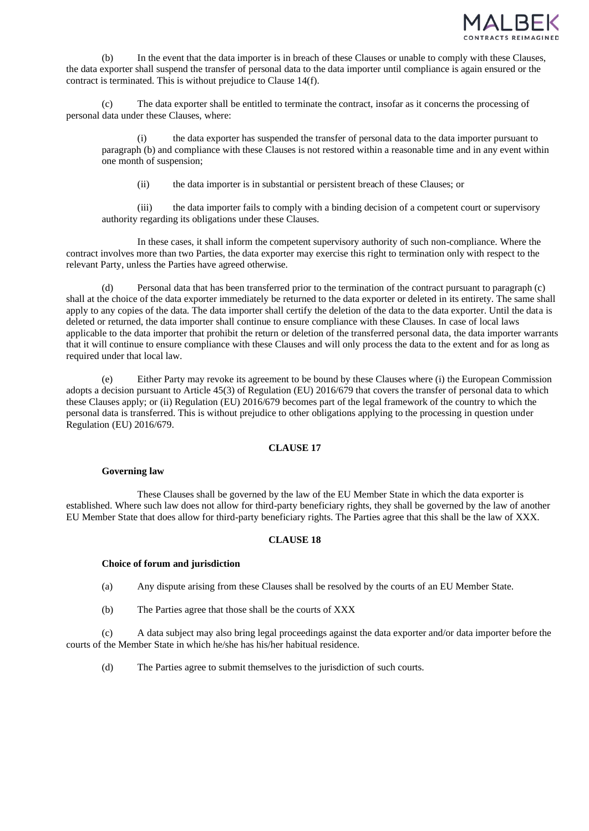

(b) In the event that the data importer is in breach of these Clauses or unable to comply with these Clauses, the data exporter shall suspend the transfer of personal data to the data importer until compliance is again ensured or the contract is terminated. This is without prejudice to Clause 14(f).

(c) The data exporter shall be entitled to terminate the contract, insofar as it concerns the processing of personal data under these Clauses, where:

(i) the data exporter has suspended the transfer of personal data to the data importer pursuant to paragraph (b) and compliance with these Clauses is not restored within a reasonable time and in any event within one month of suspension;

(ii) the data importer is in substantial or persistent breach of these Clauses; or

(iii) the data importer fails to comply with a binding decision of a competent court or supervisory authority regarding its obligations under these Clauses.

In these cases, it shall inform the competent supervisory authority of such non-compliance. Where the contract involves more than two Parties, the data exporter may exercise this right to termination only with respect to the relevant Party, unless the Parties have agreed otherwise.

(d) Personal data that has been transferred prior to the termination of the contract pursuant to paragraph (c) shall at the choice of the data exporter immediately be returned to the data exporter or deleted in its entirety. The same shall apply to any copies of the data. The data importer shall certify the deletion of the data to the data exporter. Until the data is deleted or returned, the data importer shall continue to ensure compliance with these Clauses. In case of local laws applicable to the data importer that prohibit the return or deletion of the transferred personal data, the data importer warrants that it will continue to ensure compliance with these Clauses and will only process the data to the extent and for as long as required under that local law.

(e) Either Party may revoke its agreement to be bound by these Clauses where (i) the European Commission adopts a decision pursuant to Article 45(3) of Regulation (EU) 2016/679 that covers the transfer of personal data to which these Clauses apply; or (ii) Regulation (EU) 2016/679 becomes part of the legal framework of the country to which the personal data is transferred. This is without prejudice to other obligations applying to the processing in question under Regulation (EU) 2016/679.

#### **CLAUSE 17**

#### **Governing law**

These Clauses shall be governed by the law of the EU Member State in which the data exporter is established. Where such law does not allow for third-party beneficiary rights, they shall be governed by the law of another EU Member State that does allow for third-party beneficiary rights. The Parties agree that this shall be the law of XXX.

## **CLAUSE 18**

## **Choice of forum and jurisdiction**

(a) Any dispute arising from these Clauses shall be resolved by the courts of an EU Member State.

(b) The Parties agree that those shall be the courts of XXX

(c) A data subject may also bring legal proceedings against the data exporter and/or data importer before the courts of the Member State in which he/she has his/her habitual residence.

(d) The Parties agree to submit themselves to the jurisdiction of such courts.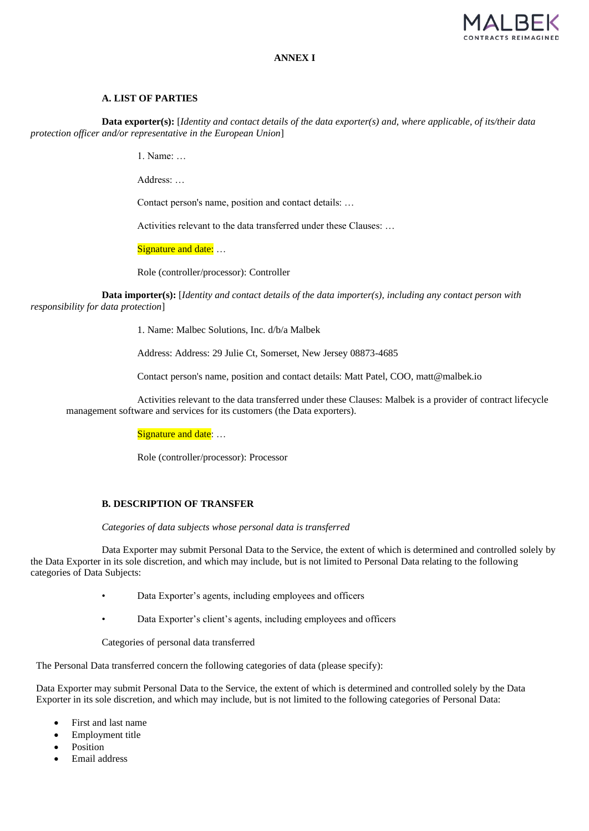

## **ANNEX I**

## **A. LIST OF PARTIES**

**Data exporter(s):** [*Identity and contact details of the data exporter(s) and, where applicable, of its/their data protection officer and/or representative in the European Union*]

1. Name: …

Address: …

Contact person's name, position and contact details: …

Activities relevant to the data transferred under these Clauses: …

Signature and date: ...

Role (controller/processor): Controller

**Data importer(s):** [*Identity and contact details of the data importer(s), including any contact person with responsibility for data protection*]

1. Name: Malbec Solutions, Inc. d/b/a Malbek

Address: Address: 29 Julie Ct, Somerset, New Jersey 08873-4685

Contact person's name, position and contact details: Matt Patel, COO, matt@malbek.io

Activities relevant to the data transferred under these Clauses: Malbek is a provider of contract lifecycle management software and services for its customers (the Data exporters).

Signature and date: ...

Role (controller/processor): Processor

## **B. DESCRIPTION OF TRANSFER**

*Categories of data subjects whose personal data is transferred*

Data Exporter may submit Personal Data to the Service, the extent of which is determined and controlled solely by the Data Exporter in its sole discretion, and which may include, but is not limited to Personal Data relating to the following categories of Data Subjects:

- Data Exporter's agents, including employees and officers
- Data Exporter's client's agents, including employees and officers

Categories of personal data transferred

The Personal Data transferred concern the following categories of data (please specify):

Data Exporter may submit Personal Data to the Service, the extent of which is determined and controlled solely by the Data Exporter in its sole discretion, and which may include, but is not limited to the following categories of Personal Data:

- First and last name
- Employment title
- **Position**
- Email address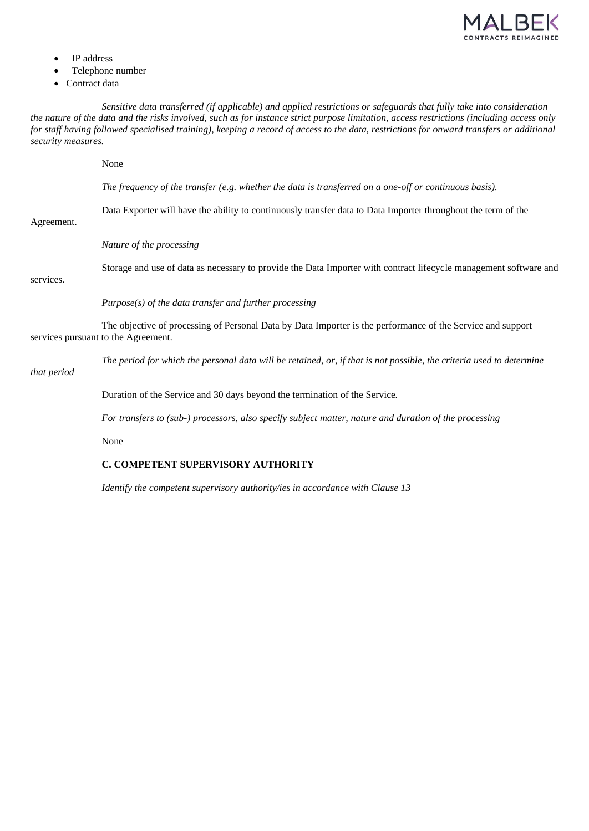

- IP address
- Telephone number
- Contract data

*Sensitive data transferred (if applicable) and applied restrictions or safeguards that fully take into consideration the nature of the data and the risks involved, such as for instance strict purpose limitation, access restrictions (including access only for staff having followed specialised training), keeping a record of access to the data, restrictions for onward transfers or additional security measures.*

|             | None                                                                                                                                               |
|-------------|----------------------------------------------------------------------------------------------------------------------------------------------------|
|             | The frequency of the transfer (e.g. whether the data is transferred on a one-off or continuous basis).                                             |
| Agreement.  | Data Exporter will have the ability to continuously transfer data to Data Importer throughout the term of the                                      |
|             | Nature of the processing                                                                                                                           |
| services.   | Storage and use of data as necessary to provide the Data Importer with contract lifecycle management software and                                  |
|             | $Purpose(s)$ of the data transfer and further processing                                                                                           |
|             | The objective of processing of Personal Data by Data Importer is the performance of the Service and support<br>services pursuant to the Agreement. |
| that period | The period for which the personal data will be retained, or, if that is not possible, the criteria used to determine                               |
|             | Duration of the Service and 30 days beyond the termination of the Service.                                                                         |
|             | For transfers to (sub-) processors, also specify subject matter, nature and duration of the processing                                             |
|             | None                                                                                                                                               |

# **C. COMPETENT SUPERVISORY AUTHORITY**

*Identify the competent supervisory authority/ies in accordance with Clause 13*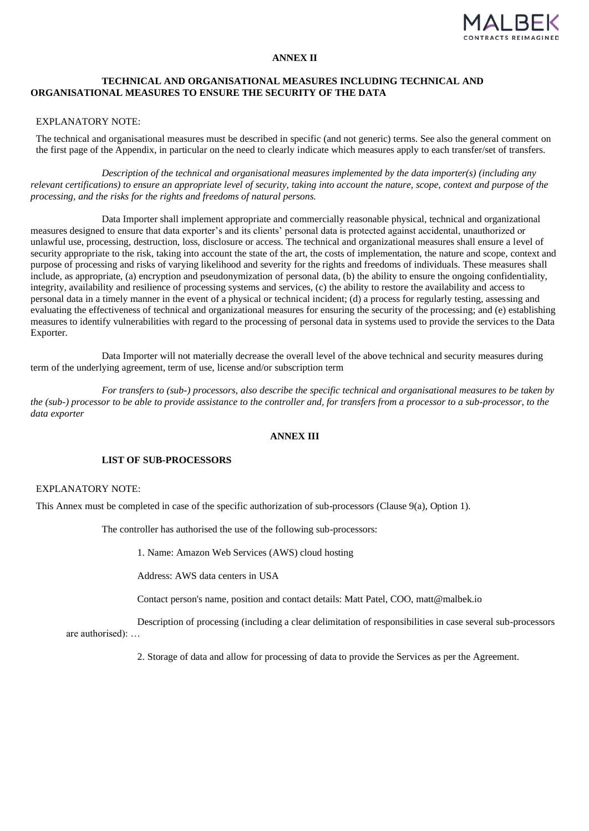

### **ANNEX II**

## **TECHNICAL AND ORGANISATIONAL MEASURES INCLUDING TECHNICAL AND ORGANISATIONAL MEASURES TO ENSURE THE SECURITY OF THE DATA**

### EXPLANATORY NOTE:

The technical and organisational measures must be described in specific (and not generic) terms. See also the general comment on the first page of the Appendix, in particular on the need to clearly indicate which measures apply to each transfer/set of transfers.

*Description of the technical and organisational measures implemented by the data importer(s) (including any relevant certifications) to ensure an appropriate level of security, taking into account the nature, scope, context and purpose of the processing, and the risks for the rights and freedoms of natural persons.*

Data Importer shall implement appropriate and commercially reasonable physical, technical and organizational measures designed to ensure that data exporter's and its clients' personal data is protected against accidental, unauthorized or unlawful use, processing, destruction, loss, disclosure or access. The technical and organizational measures shall ensure a level of security appropriate to the risk, taking into account the state of the art, the costs of implementation, the nature and scope, context and purpose of processing and risks of varying likelihood and severity for the rights and freedoms of individuals. These measures shall include, as appropriate, (a) encryption and pseudonymization of personal data, (b) the ability to ensure the ongoing confidentiality, integrity, availability and resilience of processing systems and services, (c) the ability to restore the availability and access to personal data in a timely manner in the event of a physical or technical incident; (d) a process for regularly testing, assessing and evaluating the effectiveness of technical and organizational measures for ensuring the security of the processing; and (e) establishing measures to identify vulnerabilities with regard to the processing of personal data in systems used to provide the services to the Data Exporter.

Data Importer will not materially decrease the overall level of the above technical and security measures during term of the underlying agreement, term of use, license and/or subscription term

*For transfers to (sub-) processors, also describe the specific technical and organisational measures to be taken by the (sub-) processor to be able to provide assistance to the controller and, for transfers from a processor to a sub-processor, to the data exporter*

### **ANNEX III**

#### **LIST OF SUB-PROCESSORS**

#### EXPLANATORY NOTE:

This Annex must be completed in case of the specific authorization of sub-processors (Clause 9(a), Option 1).

The controller has authorised the use of the following sub-processors:

1. Name: Amazon Web Services (AWS) cloud hosting

Address: AWS data centers in USA

Contact person's name, position and contact details: Matt Patel, COO, matt@malbek.io

Description of processing (including a clear delimitation of responsibilities in case several sub-processors are authorised): …

2. Storage of data and allow for processing of data to provide the Services as per the Agreement.